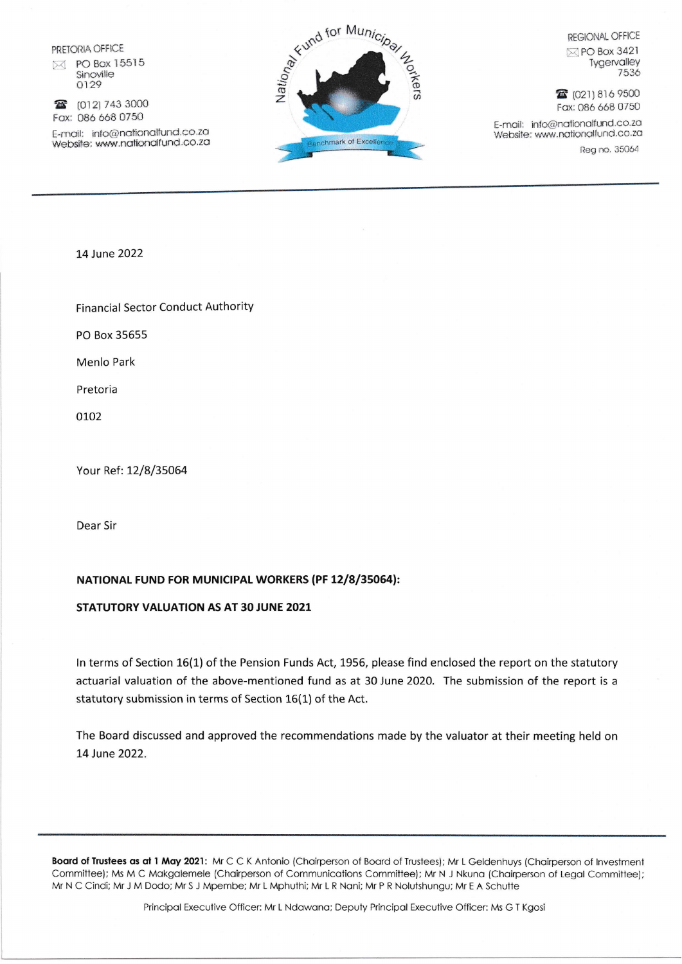PRETORIA OFFICE 冈 PO Box 15515 Sinoville 0129

2 (012) 743 3000 Fax: 086 668 0750

E-mail: info@nationalfund.co.za Website: www.nationalfund.co.za



**REGIONAL OFFICE** 

 $\boxtimes$  PO Box 3421 Tygervalley 7536

**雷** (021) 816 9500 Fax: 086 668 0750

E-mail: info@nationalfund.co.za Website: www.nationalfund.co.za

Reg no. 35064

14 June 2022

**Financial Sector Conduct Authority** 

PO Box 35655

**Menlo Park** 

Pretoria

0102

Your Ref: 12/8/35064

Dear Sir

## NATIONAL FUND FOR MUNICIPAL WORKERS (PF 12/8/35064):

## STATUTORY VALUATION AS AT 30 JUNE 2021

In terms of Section 16(1) of the Pension Funds Act, 1956, please find enclosed the report on the statutory actuarial valuation of the above-mentioned fund as at 30 June 2020. The submission of the report is a statutory submission in terms of Section 16(1) of the Act.

The Board discussed and approved the recommendations made by the valuator at their meeting held on 14 June 2022.

Board of Trustees as at 1 May 2021: Mr C C K Antonio (Chairperson of Board of Trustees); Mr L Geldenhuys (Chairperson of Investment Committee); Ms M C Makgalemele (Chairperson of Communications Committee); Mr N J Nkuna (Chairperson of Legal Committee); Mr N C Cindi; Mr J M Dodo; Mr S J Mpembe; Mr L Mphuthi; Mr L R Nani; Mr P R Nolutshungu; Mr E A Schutte